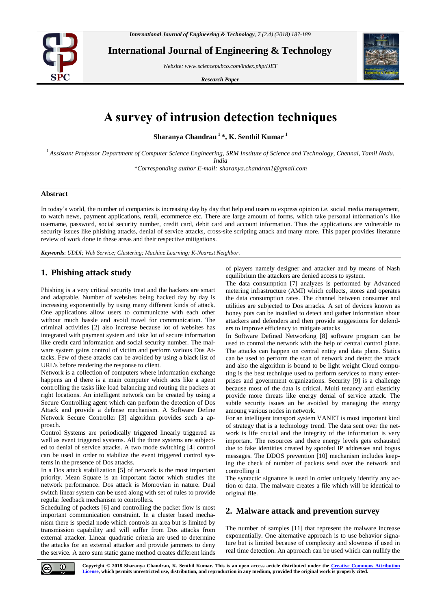

**International Journal of Engineering & Technology**

*Website: www.sciencepubco.com/index.php/IJET*

*Research Paper*



# **A survey of intrusion detection techniques**

**Sharanya Chandran <sup>1</sup>\*, K. Senthil Kumar <sup>1</sup>**

*<sup>1</sup>Assistant Professor Department of Computer Science Engineering, SRM Institute of Science and Technology, Chennai, Tamil Nadu, India*

*\*Corresponding author E-mail: sharanya.chandran1@gmail.com*

## **Abstract**

In today's world, the number of companies is increasing day by day that help end users to express opinion i.e. social media management, to watch news, payment applications, retail, ecommerce etc. There are large amount of forms, which take personal information's like username, password, social security number, credit card, debit card and account information. Thus the applications are vulnerable to security issues like phishing attacks, denial of service attacks, cross-site scripting attack and many more. This paper provides literature review of work done in these areas and their respective mitigations.

*Keywords*: *UDDI; Web Service; Clustering; Machine Learning; K-Nearest Neighbor.*

## **1. Phishing attack study**

Phishing is a very critical security treat and the hackers are smart and adaptable. Number of websites being hacked day by day is increasing exponentially by using many different kinds of attack. One applications allow users to communicate with each other without much hassle and avoid travel for communication. The criminal activities [2] also increase because lot of websites has integrated with payment system and take lot of secure information like credit card information and social security number. The malware system gains control of victim and perform various Dos Attacks. Few of these attacks can be avoided by using a black list of URL's before rendering the response to client.

Network is a collection of computers where information exchange happens an d there is a main computer which acts like a agent controlling the tasks like load balancing and routing the packets at right locations. An intelligent network can be created by using a Secure Controlling agent which can perform the detection of Dos Attack and provide a defense mechanism. A Software Define Network Secure Controller [3] algorithm provides such a approach.

Control Systems are periodically triggered linearly triggered as well as event triggered systems. All the three systems are subjected to denial of service attacks. A two mode switching [4] control can be used in order to stabilize the event triggered control systems in the presence of Dos attacks.

In a Dos attack stabilization [5] of network is the most important priority. Mean Square is an important factor which studies the network performance. Dos attack is Monrovian in nature. Dual switch linear system can be used along with set of rules to provide regular feedback mechanism to controllers.

Scheduling of packets [6] and controlling the packet flow is most important communication constraint. In a cluster based mechanism there is special node which controls an area but is limited by transmission capability and will suffer from Dos attacks from external attacker. Linear quadratic criteria are used to determine the attacks for an external attacker and provide jammers to deny the service. A zero sum static game method creates different kinds of players namely designer and attacker and by means of Nash equilibrium the attackers are denied access to system.

The data consumption [7] analyzes is performed by Advanced metering infrastructure (AMI) which collects, stores and operates the data consumption rates. The channel between consumer and utilities are subjected to Dos arracks. A set of devices known as honey pots can be installed to detect and gather information about attackers and defenders and then provide suggestions for defenders to improve efficiency to mitigate attacks

In Software Defined Networking [8] software program can be used to control the network with the help of central control plane. The attacks can happen on central entity and data plane. Statics can be used to perform the scan of network and detect the attack and also the algorithm is bound to be light weight Cloud computing is the best technique used to perform services to many enterprises and government organizations. Security [9] is a challenge because most of the data is critical. Multi tenancy and elasticity provide more threats like energy denial of service attack. The subtle security issues an be avoided by managing the energy amoung various nodes in network.

For an intelligent transport system VANET is most important kind of strategy that is a technology trend. The data sent over the network is life crucial and the integrity of the information is very important. The resources and there energy levels gets exhausted due to fake identities created by spoofed IP addresses and bogus messages. The DDOS prevention [10] mechanism includes keeping the check of number of packets send over the network and controlling it

The syntactic signature is used in order uniquely identify any action or data. The malware creates a file which will be identical to original file.

## **2. Malware attack and prevention survey**

The number of samples [11] that represent the malware increase exponentially. One alternative approach is to use behavior signature but is limited because of complexity and slowness if used in real time detection. An approach can be used which can nullify the

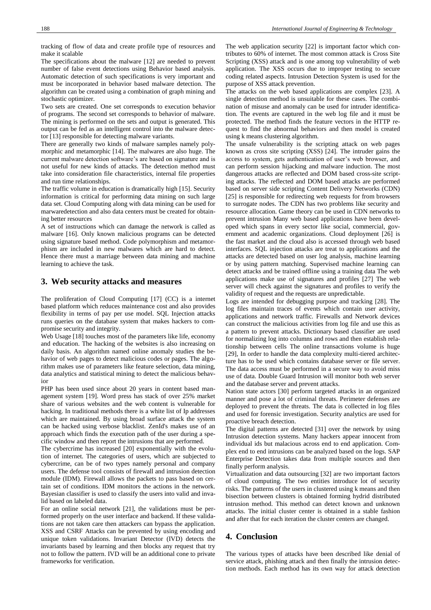tracking of flow of data and create profile type of resources and make it scalable

The specifications about the malware [12] are needed to prevent number of false event detections using Behavior based analysis. Automatic detection of such specifications is very important and must be incorporated in behavior based malware detection. The algorithm can be created using a combination of graph mining and stochastic optimizer.

Two sets are created. One set corresponds to execution behavior of programs. The second set corresponds to behavior of malware. The mining is performed on the sets and output is generated. This output can be fed as an intelligent control into the malware detector [13] responsible for detecting malware variants.

There are generally two kinds of malware samples namely polymorphic and metamorphic [14]. The malwares are also huge. The current malware detection software's are based on signature and is not useful for new kinds of attacks. The detection method must take into consideration file characteristics, internal file properties and run time relationships.

The traffic volume in education is dramatically high [15]. Security information is critical for performing data mining on such large data set. Cloud Computing along with data mining can be used for marwaredetection and also data centers must be created for obtaining better resources

A set of instructions which can damage the network is called as malware [16]. Only known malicious programs can be detected using signature based method. Code polymorphism and metamorphism are included in new malwares which are hard to detect. Hence there must a marriage between data mining and machine learning to achieve the task.

### **3. Web security attacks and measures**

The proliferation of Cloud Computing [17] (CC) is a internet based platform which reduces maintenance cost and also provides flexibility in terms of pay per use model. SQL Injection attacks runs queries on the database system that makes hackers to compromise security and integrity.

Web Usage [18] touches most of the parameters like life, economy and education. The hacking of the websites is also increasing on daily basis. An algorithm named online anomaly studies the behavior of web pages to detect malicious codes or pages. The algorithm makes use of parameters like feature selection, data mining, data analytics and statistical mining to detect the malicious behavior

PHP has been used since about 20 years in content based management system [19]. Word press has stack of over 25% market share of various websites and the web content is vulnerable for hacking. In traditional methods there is a white list of Ip addresses which are maintained. By using broad surface attack the system can be hacked using verbose blacklist. ZenId's makes use of an approach which finds the execution path of the user during a specific window and then report the intrusions that are performed.

The cybercrime has increased [20] exponentially with the evolution of internet. The categories of users, which are subjected to cybercrime, can be of two types namely personal and company users. The defense tool consists of firewall and intrusion detection module (IDM). Firewall allows the packets to pass based on certain set of conditions. IDM monitors the actions in the network. Bayesian classifier is used to classify the users into valid and invalid based on labeled data.

For an online social network [21], the validations must be performed properly on the user interface and backend. If these validations are not taken care then attackers can bypass the application. XSS and CSRF Attacks can be prevented by using encoding and unique token validations. Invariant Detector (IVD) detects the invariants based by learning and then blocks any request that try not to follow the pattern. IVD will be an additional cone to private frameworks for verification.

The web application security [22] is important factor which contributes to 60% of internet. The most common attack is Cross Site Scripting (XSS) attack and is one among top vulnerability of web application. The XSS occurs due to improper testing to secure coding related aspects. Intrusion Detection System is used for the purpose of XSS attack prevention.

The attacks on the web based applications are complex [23]. A single detection method is unsuitable for these cases. The combination of misuse and anomaly can be used for intruder identification. The events are captured in the web log file and it must be protected. The method finds the feature vectors in the HTTP request to find the abnormal behaviors and then model is created using k means clustering algorithm.

The unsafe vulnerability is the scripting attack on web pages known as cross site scripting (XSS) [24]. The intruder gains the access to system, gets authentication of user's web browser, and can perform session hijacking and malware induction. The most dangerous attacks are reflected and DOM based cross-site scripting attacks. The reflected and DOM based attacks are performed based on server side scripting Content Delivery Networks (CDN) [25] is responsible for redirecting web requests for from browsers to surrogate nodes. The CDN has two problems like security and resource allocation. Game theory can be used in CDN networks to prevent intrusion Many web based applications have been developed which spans in every sector like social, commercial, government and academic organizations. Cloud deployment [26] is the fast market and the cloud also is accessed through web based interfaces. SQL injection attacks are treat to applications and the attacks are detected based on user log analysis, machine learning or by using pattern matching. Supervised machine learning can detect attacks and be trained offline using a training data The web applications make use of signatures and profiles [27] The web server will check against the signatures and profiles to verify the validity of request and the requests are unpredictable.

Logs are intended for debugging purpose and tracking [28]. The log files maintain traces of events which contain user activity, applications and network traffic. Firewalls and Network devices can construct the malicious activities from log file and use this as a pattern to prevent attacks. Dictionary based classifier are used for normalizing log into columns and rows and then establish relationship between cells The online transactions volume is huge [29]. In order to handle the data complexity multi-tiered architecture has to be used which contains database server or file server. The data access must be performed in a secure way to avoid miss use of data. Double Guard Intrusion will monitor both web server and the database server and prevent attacks.

Nation state actors [30] perform targeted attacks in an organized manner and pose a lot of criminal threats. Perimeter defenses are deployed to prevent the threats. The data is collected in log files and used for forensic investigation. Security analytics are used for proactive breach detection.

The digital patterns are detected [31] over the network by using Intrusion detection systems. Many hackers appear innocent from individual ids but malacious across end to end application. Complex end to end intrusions can be analyzed based on the logs. SAP Enterprise Detection takes data from multiple sources and then finally perform analysis.

Virtualization and data outsourcing [32] are two important factors of cloud computing. The two entities introduce lot of security risks. The patterns of the users in clustered using k means and then bisection between clusters is obtained forming hydrid distributed intrusion method. This method can detect known and unknown attacks. The initial cluster center is obtained in a stable fashion and after that for each iteration the cluster centers are changed.

## **4. Conclusion**

The various types of attacks have been described like denial of service attack, phishing attack and then finally the intrusion detection methods. Each method has its own way for attack detection